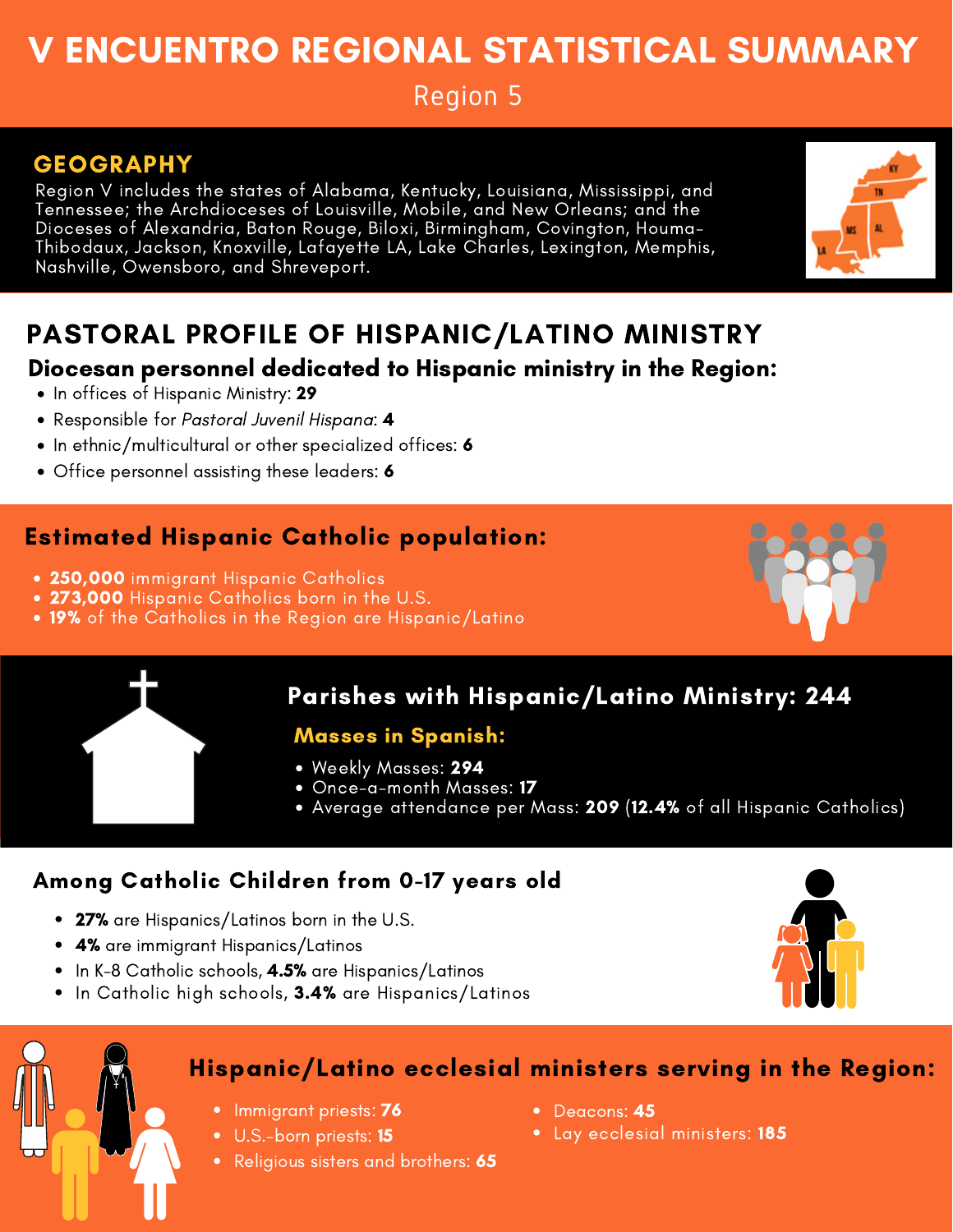# V ENCUENTRO REGIONAL STATISTICAL SUMMARY

Region 5

## GEOGRAPHY

Region V includes the states of Alabama, Kentucky, Louisiana, Mississippi, and Tennessee; the Archdioceses of Louisville, Mobile, and New Orleans; and the Dioceses of Alexandria, Baton Rouge, Biloxi, Birmingham, Covington, Houma-Thibodaux, Jackson, Knoxville, Lafayette LA, Lake Charles, Lexington, Memphis, Nashville, Owensboro, and Shreveport.



## PASTORAL PROFILE OF HISPANIC/LATINO MINISTRY

#### Diocesan personnel dedicated to Hispanic ministry in the Region:

- In offices of Hispanic Ministry: 29
- Responsible for Pastoral Juvenil Hispana: 4
- In ethnic/multicultural or other specialized offices: 6
- Office personnel assisting these leaders: 6

## Estimated Hispanic Catholic population:

- 250,000 immigrant Hispanic Catholics
- 273,000 Hispanic Catholics born in the U.S.
- 19% of the Catholics in the Region are Hispanic/Latino





## Parishes with Hispanic/Latino Ministry: 244

#### Masses in Spanish:

- Weekly Masses: 294
- Once-a-month Masses: **17**
- Average attendance per Mass: 209 (12.4% of all Hispanic Catholics)

### Among Catholic Children from 0-17 years old

- 27% are Hispanics/Latinos born in the U.S.
- 4% are immigrant Hispanics/Latinos
- $\bullet$  In K-8 Catholic schools,  $4.5\%$  are Hispanics/Latinos
- In Catholic high schools, 3.4% are Hispanics/Latinos





### Hispanic/Latino ecclesial ministers serving in the Region:

- Immigrant priests: **76**
- U.S.-born priests: **15**
- Religious sisters and brothers: 65
- Deacons: 45
- Lay ecclesial ministers: 185